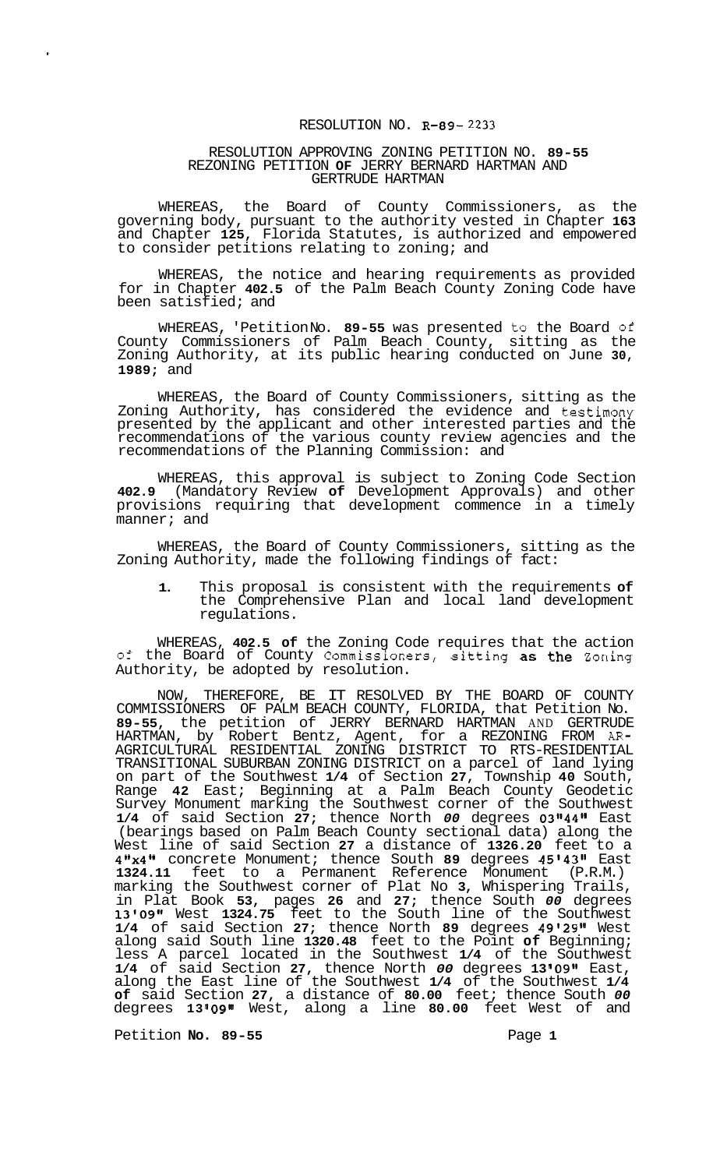## RESOLUTION NO. **R-89- 2233**

## RESOLUTION APPROVING ZONING PETITION NO. **89-55**  REZONING PETITION **OF** JERRY BERNARD HARTMAN AND GERTRUDE HARTMAN

WHEREAS, the Board of County Commissioners, as the governing body, pursuant to the authority vested in Chapter **163**  and Chapter **125,** Florida Statutes, is authorized and empowered to consider petitions relating to zoning; and

WHEREAS, the notice and hearing requirements as provided for in Chapter **402.5** of the Palm Beach County Zoning Code have been satisfied; and

WHEREAS, 'Petition No. **89-55** was presented to the Board **of**  County Commissioners of Palm Beach County, sitting as the Zoning Authority, at its public hearing conducted on June **30, 1989;** and

WHEREAS, the Board of County Commissioners, sitting as the Zoning Authority, has considered the evidence and testimony presented by the applicant and other interested parties and the recommendations of the various county review agencies and the recommendations of the Planning Commission: and

WHEREAS, this approval is subject to Zoning Code Section **402.9** (Mandatory Review **of** Development Approvals) and other provisions requiring that development commence in a timely manner; and

WHEREAS, the Board of County Commissioners, sitting as the Zoning Authority, made the following findings of fact:

**1.** This proposal is consistent with the requirements **of**  the Comprehensive Plan and local land development regulations.

WHEREAS, **402.5 of** the Zoning Code requires that the action **of** the Board of County Commissioners, sitting as the Zoning Authority, be adopted by resolution.

NOW, THEREFORE, BE IT RESOLVED BY THE BOARD OF COUNTY COMMISSIONERS OF PALM BEACH COUNTY, FLORIDA, that Petition No. **89-55,** the petition of JERRY BERNARD HARTMAN AND GERTRUDE HARTMAN, by Robert Bentz, Agent, for a REZONING FROM *AR-*TRANSITIONAL SUBURBAN ZONING DISTRICT on a parcel of land lying on part of the Southwest **1/4** of Section **27,** Township **40** South, Range **42** East; Beginning at a Palm Beach County Geodetic Survey Monument marking the Southwest corner of the Southwest **1/4** of said Section **27;** thence North *00* degrees **03114411** East (bearings based on Palm Beach County sectional data) along the West line of said Section **27** a distance of **1326.20** feet to a **411x411** concrete Monument; thence South **89** degrees **45'43Il** East **1324.11** feet to a Permanent Reference Monument (P.R.M.) marking the Southwest corner of Plat No **3,** Whispering Trails, in Plat Book **53,** pages **26** and **27;** thence South *00* degrees **13'09g1** West **1324.75** feet to the South line of the Southwest **1/4** of said Section **27;** thence North **89** degrees **49'29"** West along said South line **1320.48** feet to the Point **of** Beginning; less A parcel located in the Southwest **1/4** of the Southwest **1/4** of said Section **27,** thence North *00* degrees **13 1091t** East, along the East line of the Southwest **1/4** of the Southwest **1/4 of** said Section **27,** a distance of **80.00** feet; thence South *00*  degrees **13 '09t1** West, along a line **80.00** feet West of and AGRICULTURAL RESIDENTIAL ZONING DISTRICT TO RTS-RESIDENTIAL

Petition **No. 89-55** Page 1

 $\mathbf{r}$